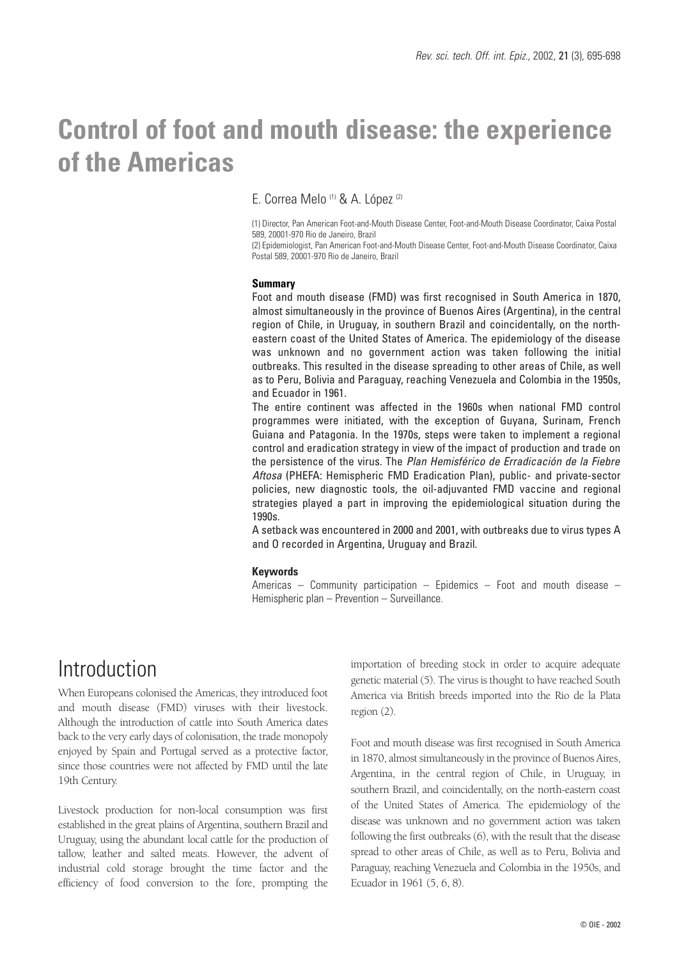# **Control of foot and mouth disease: the experience of the Americas**

### E. Correa Melo (1) & A. López (2)

(1) Director, Pan American Foot-and-Mouth Disease Center, Foot-and-Mouth Disease Coordinator, Caixa Postal 589, 20001-970 Rio de Janeiro, Brazil

(2) Epidemiologist, Pan American Foot-and-Mouth Disease Center, Foot-and-Mouth Disease Coordinator, Caixa Postal 589, 20001-970 Rio de Janeiro, Brazil

#### **Summary**

Foot and mouth disease (FMD) was first recognised in South America in 1870, almost simultaneously in the province of Buenos Aires (Argentina), in the central region of Chile, in Uruguay, in southern Brazil and coincidentally, on the northeastern coast of the United States of America. The epidemiology of the disease was unknown and no government action was taken following the initial outbreaks. This resulted in the disease spreading to other areas of Chile, as well as to Peru, Bolivia and Paraguay, reaching Venezuela and Colombia in the 1950s, and Ecuador in 1961.

The entire continent was affected in the 1960s when national FMD control programmes were initiated, with the exception of Guyana, Surinam, French Guiana and Patagonia. In the 1970s, steps were taken to implement a regional control and eradication strategy in view of the impact of production and trade on the persistence of the virus. The *Plan Hemisférico de Erradicación de la Fiebre Aftosa* (PHEFA: Hemispheric FMD Eradication Plan), public- and private-sector policies, new diagnostic tools, the oil-adjuvanted FMD vaccine and regional strategies played a part in improving the epidemiological situation during the 1990s.

A setback was encountered in 2000 and 2001, with outbreaks due to virus types A and O recorded in Argentina, Uruguay and Brazil.

#### **Keywords**

Americas – Community participation – Epidemics – Foot and mouth disease – Hemispheric plan – Prevention – Surveillance.

### Introduction

When Europeans colonised the Americas, they introduced foot and mouth disease (FMD) viruses with their livestock. Although the introduction of cattle into South America dates back to the very early days of colonisation, the trade monopoly enjoyed by Spain and Portugal served as a protective factor, since those countries were not affected by FMD until the late 19th Century.

Livestock production for non-local consumption was first established in the great plains of Argentina, southern Brazil and Uruguay, using the abundant local cattle for the production of tallow, leather and salted meats. However, the advent of industrial cold storage brought the time factor and the efficiency of food conversion to the fore, prompting the

importation of breeding stock in order to acquire adequate genetic material (5). The virus is thought to have reached South America via British breeds imported into the Rio de la Plata region (2).

Foot and mouth disease was first recognised in South America in 1870, almost simultaneously in the province of Buenos Aires, Argentina, in the central region of Chile, in Uruguay, in southern Brazil, and coincidentally, on the north-eastern coast of the United States of America. The epidemiology of the disease was unknown and no government action was taken following the first outbreaks (6), with the result that the disease spread to other areas of Chile, as well as to Peru, Bolivia and Paraguay, reaching Venezuela and Colombia in the 1950s, and Ecuador in 1961 (5, 6, 8).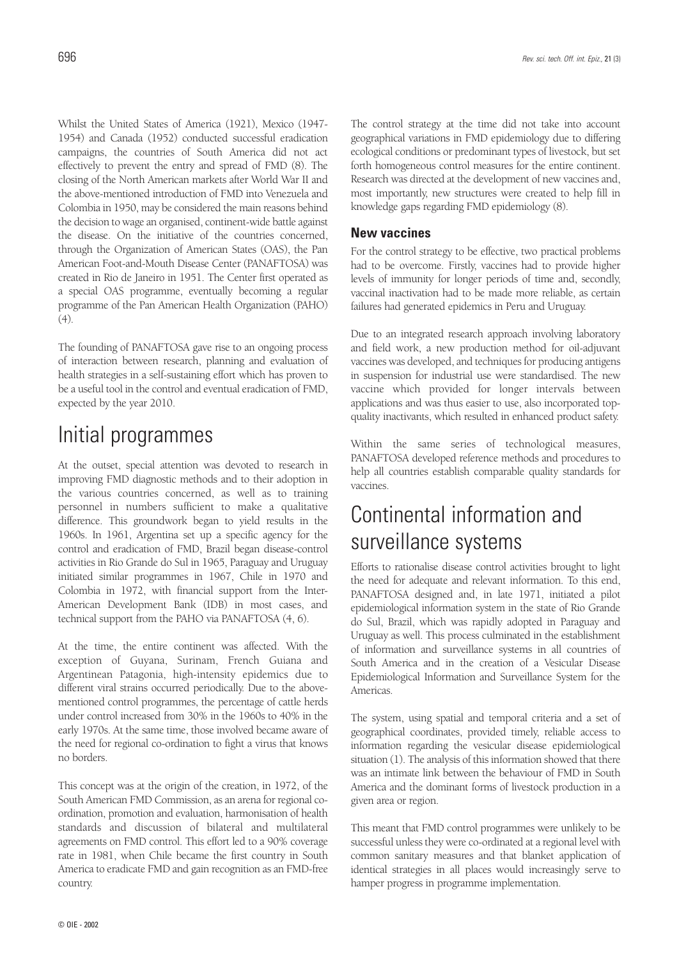Whilst the United States of America (1921), Mexico (1947- 1954) and Canada (1952) conducted successful eradication campaigns, the countries of South America did not act effectively to prevent the entry and spread of FMD (8). The closing of the North American markets after World War II and the above-mentioned introduction of FMD into Venezuela and Colombia in 1950, may be considered the main reasons behind the decision to wage an organised, continent-wide battle against the disease. On the initiative of the countries concerned, through the Organization of American States (OAS), the Pan American Foot-and-Mouth Disease Center (PANAFTOSA) was created in Rio de Janeiro in 1951. The Center first operated as a special OAS programme, eventually becoming a regular programme of the Pan American Health Organization (PAHO) (4).

The founding of PANAFTOSA gave rise to an ongoing process of interaction between research, planning and evaluation of health strategies in a self-sustaining effort which has proven to be a useful tool in the control and eventual eradication of FMD, expected by the year 2010.

## Initial programmes

At the outset, special attention was devoted to research in improving FMD diagnostic methods and to their adoption in the various countries concerned, as well as to training personnel in numbers sufficient to make a qualitative difference. This groundwork began to yield results in the 1960s. In 1961, Argentina set up a specific agency for the control and eradication of FMD, Brazil began disease-control activities in Rio Grande do Sul in 1965, Paraguay and Uruguay initiated similar programmes in 1967, Chile in 1970 and Colombia in 1972, with financial support from the Inter-American Development Bank (IDB) in most cases, and technical support from the PAHO via PANAFTOSA (4, 6).

At the time, the entire continent was affected. With the exception of Guyana, Surinam, French Guiana and Argentinean Patagonia, high-intensity epidemics due to different viral strains occurred periodically. Due to the abovementioned control programmes, the percentage of cattle herds under control increased from 30% in the 1960s to 40% in the early 1970s. At the same time, those involved became aware of the need for regional co-ordination to fight a virus that knows no borders.

This concept was at the origin of the creation, in 1972, of the South American FMD Commission, as an arena for regional coordination, promotion and evaluation, harmonisation of health standards and discussion of bilateral and multilateral agreements on FMD control. This effort led to a 90% coverage rate in 1981, when Chile became the first country in South America to eradicate FMD and gain recognition as an FMD-free country.

The control strategy at the time did not take into account geographical variations in FMD epidemiology due to differing ecological conditions or predominant types of livestock, but set forth homogeneous control measures for the entire continent. Research was directed at the development of new vaccines and, most importantly, new structures were created to help fill in knowledge gaps regarding FMD epidemiology (8).

#### **New vaccines**

For the control strategy to be effective, two practical problems had to be overcome. Firstly, vaccines had to provide higher levels of immunity for longer periods of time and, secondly, vaccinal inactivation had to be made more reliable, as certain failures had generated epidemics in Peru and Uruguay.

Due to an integrated research approach involving laboratory and field work, a new production method for oil-adjuvant vaccines was developed, and techniques for producing antigens in suspension for industrial use were standardised. The new vaccine which provided for longer intervals between applications and was thus easier to use, also incorporated topquality inactivants, which resulted in enhanced product safety.

Within the same series of technological measures, PANAFTOSA developed reference methods and procedures to help all countries establish comparable quality standards for vaccines.

## Continental information and surveillance systems

Efforts to rationalise disease control activities brought to light the need for adequate and relevant information. To this end, PANAFTOSA designed and, in late 1971, initiated a pilot epidemiological information system in the state of Rio Grande do Sul, Brazil, which was rapidly adopted in Paraguay and Uruguay as well. This process culminated in the establishment of information and surveillance systems in all countries of South America and in the creation of a Vesicular Disease Epidemiological Information and Surveillance System for the Americas.

The system, using spatial and temporal criteria and a set of geographical coordinates, provided timely, reliable access to information regarding the vesicular disease epidemiological situation (1). The analysis of this information showed that there was an intimate link between the behaviour of FMD in South America and the dominant forms of livestock production in a given area or region.

This meant that FMD control programmes were unlikely to be successful unless they were co-ordinated at a regional level with common sanitary measures and that blanket application of identical strategies in all places would increasingly serve to hamper progress in programme implementation.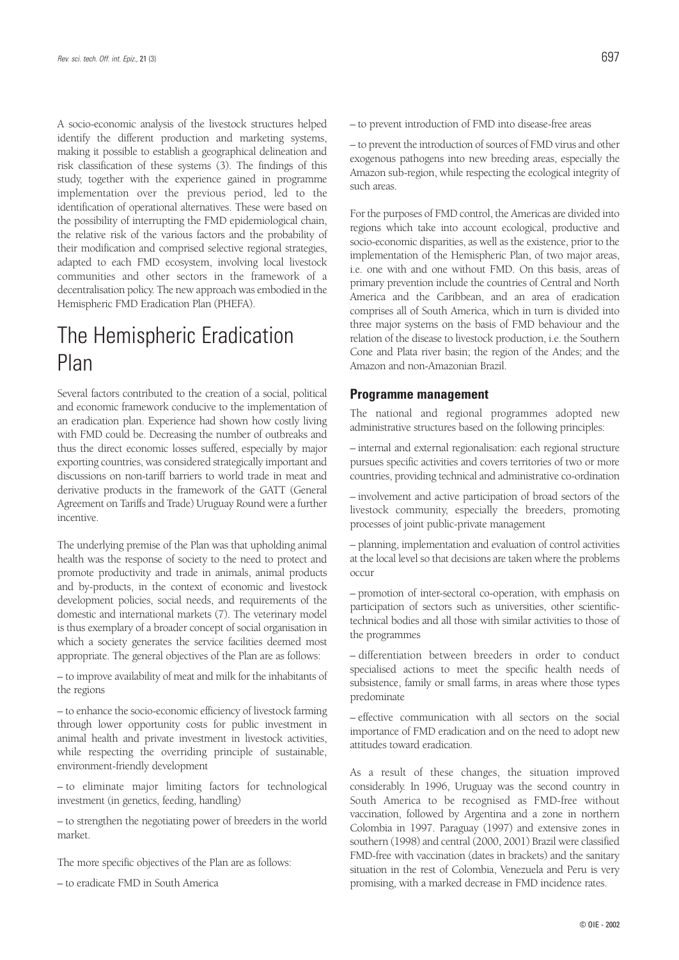A socio-economic analysis of the livestock structures helped identify the different production and marketing systems, making it possible to establish a geographical delineation and risk classification of these systems (3). The findings of this study, together with the experience gained in programme implementation over the previous period, led to the identification of operational alternatives. These were based on the possibility of interrupting the FMD epidemiological chain, the relative risk of the various factors and the probability of their modification and comprised selective regional strategies, adapted to each FMD ecosystem, involving local livestock communities and other sectors in the framework of a decentralisation policy. The new approach was embodied in the Hemispheric FMD Eradication Plan (PHEFA).

## The Hemispheric Eradication Plan

Several factors contributed to the creation of a social, political and economic framework conducive to the implementation of an eradication plan. Experience had shown how costly living with FMD could be. Decreasing the number of outbreaks and thus the direct economic losses suffered, especially by major exporting countries, was considered strategically important and discussions on non-tariff barriers to world trade in meat and derivative products in the framework of the GATT (General Agreement on Tariffs and Trade) Uruguay Round were a further incentive.

The underlying premise of the Plan was that upholding animal health was the response of society to the need to protect and promote productivity and trade in animals, animal products and by-products, in the context of economic and livestock development policies, social needs, and requirements of the domestic and international markets (7). The veterinary model is thus exemplary of a broader concept of social organisation in which a society generates the service facilities deemed most appropriate. The general objectives of the Plan are as follows:

– to improve availability of meat and milk for the inhabitants of the regions

– to enhance the socio-economic efficiency of livestock farming through lower opportunity costs for public investment in animal health and private investment in livestock activities, while respecting the overriding principle of sustainable, environment-friendly development

– to eliminate major limiting factors for technological investment (in genetics, feeding, handling)

– to strengthen the negotiating power of breeders in the world market.

The more specific objectives of the Plan are as follows:

– to eradicate FMD in South America

– to prevent introduction of FMD into disease-free areas

– to prevent the introduction of sources of FMD virus and other exogenous pathogens into new breeding areas, especially the Amazon sub-region, while respecting the ecological integrity of such areas.

For the purposes of FMD control, the Americas are divided into regions which take into account ecological, productive and socio-economic disparities, as well as the existence, prior to the implementation of the Hemispheric Plan, of two major areas, i.e. one with and one without FMD. On this basis, areas of primary prevention include the countries of Central and North America and the Caribbean, and an area of eradication comprises all of South America, which in turn is divided into three major systems on the basis of FMD behaviour and the relation of the disease to livestock production, i.e. the Southern Cone and Plata river basin; the region of the Andes; and the Amazon and non-Amazonian Brazil.

#### **Programme management**

The national and regional programmes adopted new administrative structures based on the following principles:

– internal and external regionalisation: each regional structure pursues specific activities and covers territories of two or more countries, providing technical and administrative co-ordination

– involvement and active participation of broad sectors of the livestock community, especially the breeders, promoting processes of joint public-private management

– planning, implementation and evaluation of control activities at the local level so that decisions are taken where the problems occur

– promotion of inter-sectoral co-operation, with emphasis on participation of sectors such as universities, other scientifictechnical bodies and all those with similar activities to those of the programmes

– differentiation between breeders in order to conduct specialised actions to meet the specific health needs of subsistence, family or small farms, in areas where those types predominate

– effective communication with all sectors on the social importance of FMD eradication and on the need to adopt new attitudes toward eradication.

As a result of these changes, the situation improved considerably. In 1996, Uruguay was the second country in South America to be recognised as FMD-free without vaccination, followed by Argentina and a zone in northern Colombia in 1997. Paraguay (1997) and extensive zones in southern (1998) and central (2000, 2001) Brazil were classified FMD-free with vaccination (dates in brackets) and the sanitary situation in the rest of Colombia, Venezuela and Peru is very promising, with a marked decrease in FMD incidence rates.